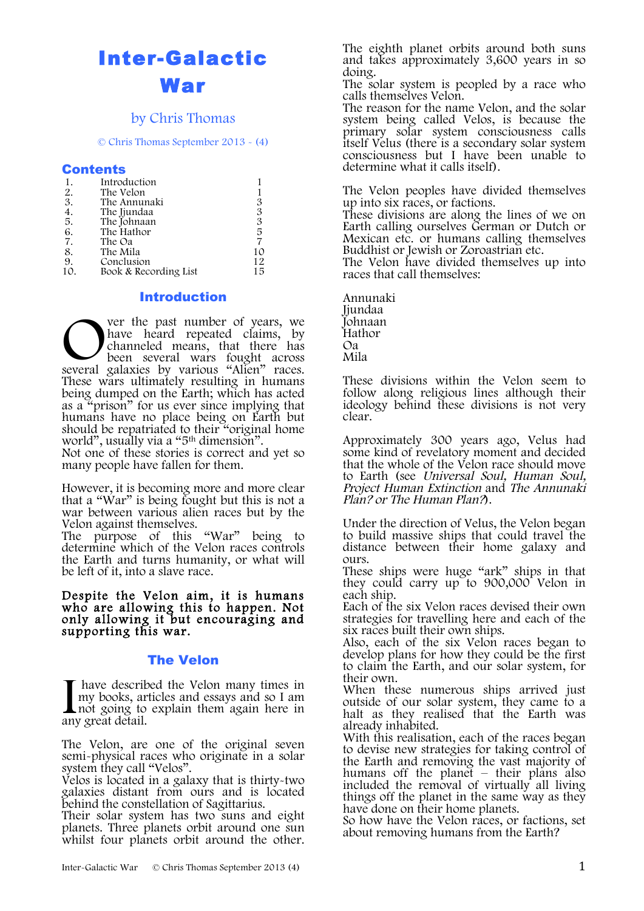# Inter-Galactic War

### by Chris Thomas

© Chris Thomas September 2013 - (4)

#### Contents

| 1.  | Introduction          |    |
|-----|-----------------------|----|
| 2.  | The Velon             |    |
| 3.  | The Annunaki          | 3  |
| 4.  | The Jjundaa           | 3  |
| 5.  | The Johnaan           | 3  |
| 6.  | The Hathor            | 5  |
| 7.  | The Oa                |    |
| 8.  | The Mila              | 10 |
| 9.  | Conclusion            | 12 |
| 10. | Book & Recording List | 15 |

#### **Introduction**

ver the past number of years, we have heard repeated claims, by channeled means, that there has been several wars fought across several galaxies by various "Alien" races. These wars ultimately resulting in humans being dumped on the Earth; which has acted as a "prison" for us ever since implying that humans have no place being on Earth but should be repatriated to their "original home world", usually via a "5th dimension". Several

Not one of these stories is correct and yet so many people have fallen for them.

However, it is becoming more and more clear that a "War" is being fought but this is not a war between various alien races but by the Velon against themselves.

The purpose of this "War" being to determine which of the Velon races controls the Earth and turns humanity, or what will be left of it, into a slave race.

Despite the Velon aim, it is humans who are allowing this to happen. Not only allowing it but encouraging and supporting this war.

### The Velon

have described the Velon many times in my books, articles and essays and so I am not going to explain them again here in any great detail.  $\prod_{\text{any}}$ 

The Velon, are one of the original seven semi-physical races who originate in a solar system they call "Velos".

Velos is located in a galaxy that is thirty-two galaxies distant from ours and is located behind the constellation of Sagittarius.

Their solar system has two suns and eight planets. Three planets orbit around one sun whilst four planets orbit around the other.

The eighth planet orbits around both suns and takes approximately 3,600 years in so doing.

The solar system is peopled by a race who calls themselves Velon.

The reason for the name Velon, and the solar system being called Velos, is because the primary solar system consciousness calls itself Velus (there is a secondary solar system consciousness but I have been unable to determine what it calls itself).

The Velon peoples have divided themselves up into six races, or factions.

These divisions are along the lines of we on Earth calling ourselves German or Dutch or Mexican etc. or humans calling themselves Buddhist or Jewish or Zoroastrian etc.

The Velon have divided themselves up into races that call themselves:

Annunaki Jjundaa Johnaan Hathor Oa Mila

These divisions within the Velon seem to follow along religious lines although their ideology behind these divisions is not very clear.

Approximately 300 years ago, Velus had some kind of revelatory moment and decided that the whole of the Velon race should move to Earth (see Universal Soul, Human Soul, Project Human Extinction and The Annunaki Plan? or The Human Plan?).

Under the direction of Velus, the Velon began to build massive ships that could travel the distance between their home galaxy and ours.

These ships were huge "ark" ships in that they could carry up to 900,000 Velon in each ship.

Each of the six Velon races devised their own strategies for travelling here and each of the six races built their own ships.

Also, each of the six Velon races began to develop plans for how they could be the first to claim the Earth, and our solar system, for their own.

When these numerous ships arrived just outside of our solar system, they came to a halt as they realised that the Earth was already inhabited.

With this realisation, each of the races began to devise new strategies for taking control of the Earth and removing the vast majority of humans off the planet – their plans also included the removal of virtually all living things off the planet in the same way as they have done on their home planets.

So how have the Velon races, or factions, set about removing humans from the Earth?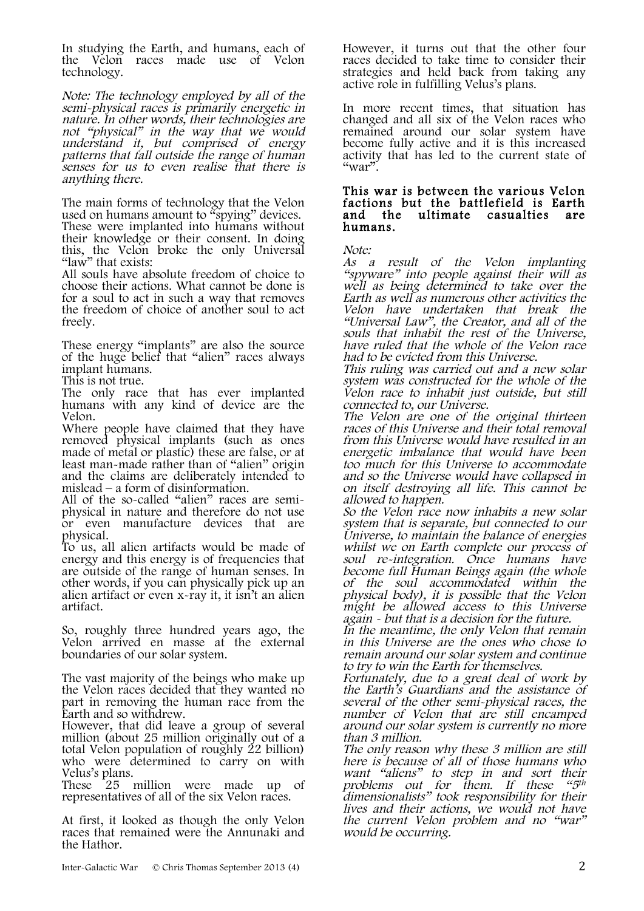In studying the Earth, and humans, each of the Velon races made use of Velon technology.

Note: The technology employed by all of the semi-physical races is primarily energetic in nature. In other words, their technologies are not "physical" in the way that we would understand it, but comprised of energy patterns that fall outside the range of human senses for us to even realise that there is anything there.

The main forms of technology that the Velon used on humans amount to "spying" devices.

These were implanted into humans without their knowledge or their consent. In doing this, the Velon broke the only Universal "law" that exists:

All souls have absolute freedom of choice to choose their actions. What cannot be done is for a soul to act in such a way that removes the freedom of choice of another soul to act freely.

These energy "implants" are also the source of the huge belief that "alien" races always implant humans.

This is not true.

The only race that has ever implanted humans with any kind of device are the Velon.

Where people have claimed that they have removed physical implants (such as ones made of metal or plastic) these are false, or at least man-made rather than of "alien" origin and the claims are deliberately intended to

mislead – a form of disinformation.<br>All of the so-called "alien" races are semiphysical in nature and therefore do not use or even manufacture devices that are physical.

To us, all alien artifacts would be made of energy and this energy is of frequencies that are outside of the range of human senses. In other words, if you can physically pick up an alien artifact or even x-ray it, it isn't an alien artifact.

So, roughly three hundred years ago, the Velon arrived en masse at the external boundaries of our solar system.

The vast majority of the beings who make up the Velon races decided that they wanted no part in removing the human race from the Earth and so withdrew.

However, that did leave a group of several million (about 25 million originally out of a total Velon population of roughly 22 billion) who were determined to carry on with Velus's plans.

These 25 million were made up of representatives of all of the six Velon races.

At first, it looked as though the only Velon races that remained were the Annunaki and the Hathor.

However, it turns out that the other four races decided to take time to consider their strategies and held back from taking any active role in fulfilling Velus's plans.

In more recent times, that situation has changed and all six of the Velon races who remained around our solar system have become fully active and it is this increased activity that has led to the current state of  $\alpha_{\rm war}$ ".

#### This war is between the various Velon factions but the battlefield is Earth and the ultimate casualties are humans.

Note:

As a result of the Velon implanting "spyware" into people against their will as well as being determined to take over the Earth as well as numerous other activities the Velon have undertaken that break the "Universal Law", the Creator, and all of the souls that inhabit the rest of the Universe, have ruled that the whole of the Velon race had to be evicted from this Universe.

This ruling was carried out and a new solar system was constructed for the whole of the Velon race to inhabit just outside, but still connected to, our Universe.

The Velon are one of the original thirteen races of this Universe and their total removal from this Universe would have resulted in an energetic imbalance that would have been too much for this Universe to accommodate and so the Universe would have collapsed in on itself destroying all life. This cannot be allowed to happen.

So the Velon race now inhabits a new solar system that is separate, but connected to our Universe, to maintain the balance of energies whilst we on Earth complete our process of soul re-integration. Once humans have become full Human Beings again (the whole of the soul accommodated within the physical body), it is possible that the Velon might be allowed access to this Universe again - but that is a decision for the future.

In the meantime, the only Velon that remain in this Universe are the ones who chose to remain around our solar system and continue to try to win the Earth for themselves.

Fortunately, due to a great deal of work by the Earth's Guardians and the assistance of several of the other semi-physical races, the number of Velon that are still encamped around our solar system is currently no more than 3 million.

The only reason why these 3 million are still here is because of all of those humans who want "aliens" to step in and sort their<br>problems out for them. If these " $5<sup>th</sup>$ problems out for them. If these "5th dimensionalists" took responsibility for their lives and their actions, we would not have the current Velon problem and no "war" would be occurring.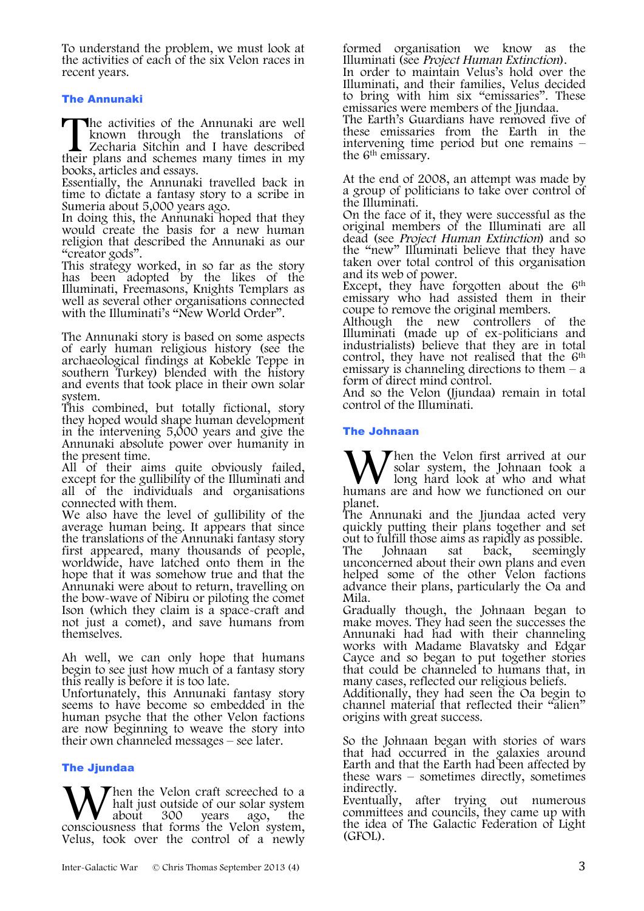To understand the problem, we must look at the activities of each of the six Velon races in recent years.

#### The Annunaki

he activities of the Annunaki are well known through the translations of Zecharia Sitchin and I have described The activities of the Annunaki are well known through the translations of Zecharia Sitchin and I have described their plans and schemes many times in my books, articles and essays.

Essentially, the Annunaki travelled back in time to dictate a fantasy story to a scribe in Sumeria about 5,000 years ago.

In doing this, the Annunaki hoped that they would create the basis for a new human religion that described the Annunaki as our "creator gods".

This strategy worked, in so far as the story has been adopted by the likes of the Illuminati, Freemasons, Knights Templars as well as several other organisations connected with the Illuminati's "New World Order".

The Annunaki story is based on some aspects of early human religious history (see the archaeological findings at Kobekle Teppe in southern Turkey) blended with the history and events that took place in their own solar

This combined, but totally fictional, story they hoped would shape human development in the intervening 5,000 years and give the Annunaki absolute power over humanity in the present time.

All of their aims quite obviously failed, except for the gullibility of the Illuminati and all of the individuals and organisations connected with them.

We also have the level of gullibility of the average human being. It appears that since the translations of the Annunaki fantasy story first appeared, many thousands of people, worldwide, have latched onto them in the hope that it was somehow true and that the Annunaki were about to return, travelling on the bow-wave of Nibiru or piloting the comet Ison (which they claim is a space-craft and not just a comet), and save humans from themselves.

Ah well, we can only hope that humans begin to see just how much of a fantasy story this really is before it is too late.

Unfortunately, this Annunaki fantasy story seems to have become so embedded in the human psyche that the other Velon factions are now beginning to weave the story into their own channeled messages – see later.

#### **The Jiundaa**

hen the Velon craft screeched to a halt just outside of our solar system<br>about 300 vears ago, the **W** halt just outside of our solar system about 300 years ago, the consciousness that forms the Velon system, Velus, took over the control of a newly formed organisation we know as the Illuminati (see Project Human Extinction).

In order to maintain Velus's hold over the Illuminati, and their families, Velus decided to bring with him six "emissaries". These emissaries were members of the Jjundaa.

The Earth's Guardians have removed five of these emissaries from the Earth in the intervening time period but one remains – the 6th emissary.

At the end of 2008, an attempt was made by a group of politicians to take over control of the Illuminati.

On the face of it, they were successful as the original members of the Illuminati are all dead (see Project Human Extinction) and so the "new" Illuminati believe that they have taken over total control of this organisation and its web of power.

Except, they have forgotten about the  $6<sup>th</sup>$ emissary who had assisted them in their coupe to remove the original members.

Although the new controllers of the Illuminati (made up of ex-politicians and industrialists) believe that they are in total control, they have not realised that the 6<sup>th</sup> emissary is channeling directions to them  $-$  a form of direct mind control.

And so the Velon (Jjundaa) remain in total control of the Illuminati.

#### The Johnaan

Then the Velon first arrived at our solar system, the Johnaan took a long hard look at who and what W hen the Velon first arrived at our<br>long hard look at who and what<br>humans are and how we functioned on our planet.

The Annunaki and the Jiundaa acted very quickly putting their plans together and set

out to fulfill those aims as rapidly as possible.<br>The Iohnaan sat back, seemingly The Johnaan sat back, seemingly unconcerned about their own plans and even helped some of the other Velon factions advance their plans, particularly the Oa and

Mila. Gradually though, the Johnaan began to make moves. They had seen the successes the Annunaki had had with their channeling works with Madame Blavatsky and Edgar Cayce and so began to put together stories that could be channeled to humans that, in many cases, reflected our religious beliefs.

Additionally, they had seen the Oa begin to channel material that reflected their "alien" origins with great success.

So the Johnaan began with stories of wars that had occurred in the galaxies around Earth and that the Earth had been affected by these wars – sometimes directly, sometimes these wars – sometimes directly, sometimes indirectly.

Eventually, after trying out numerous committees and councils, they came up with the idea of The Galactic Federation of Light (GFOL).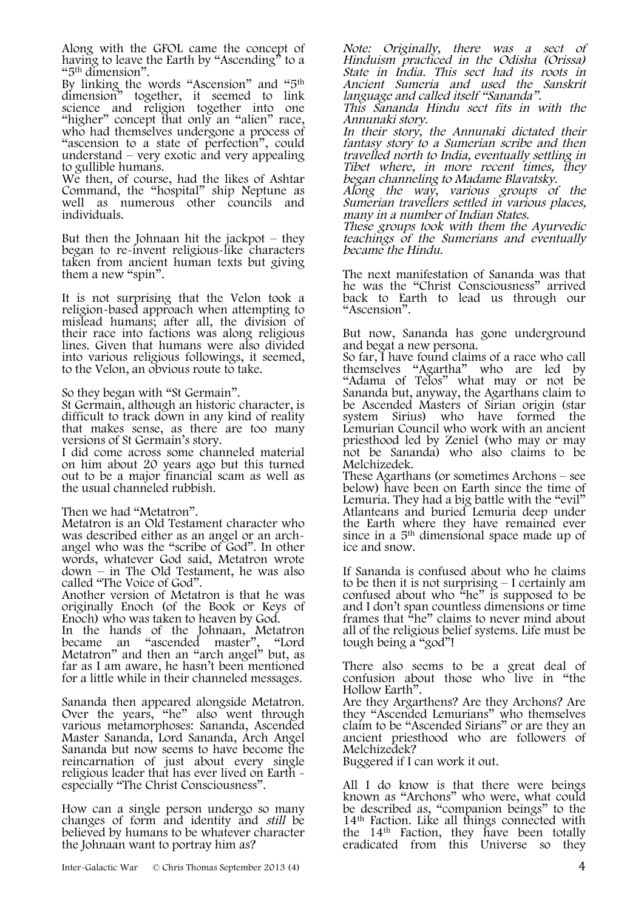Along with the GFOL came the concept of having to leave the Earth by "Ascending" to a "5th dimension".

By linking the words "Ascension" and "5th dimension" together, it seemed to link science and religion together into one "higher" concept that only an "alien" race, who had themselves undergone a process of "ascension to a state of perfection", could understand – very exotic and very appealing to gullible humans.

We then, of course, had the likes of Ashtar Command, the "hospital" ship Neptune as well as numerous other councils and individuals.

But then the Johnaan hit the jackpot  $-$  they began to re-invent religious-like characters taken from ancient human texts but giving them a new "spin".

It is not surprising that the Velon took a religion-based approach when attempting to mislead humans; after all, the division of their race into factions was along religious lines. Given that humans were also divided into various religious followings, it seemed, to the Velon, an obvious route to take.

So they began with "St Germain".

St Germain, although an historic character, is that makes sense, as there are too many versions of St Germain's story.

I did come across some channeled material on him about 20 years ago but this turned out to be a major financial scam as well as the usual channeled rubbish.

Then we had "Metatron".

Metatron is an Old Testament character who was described either as an angel or an archangel who was the "scribe of God". In other words, whatever God said, Metatron wrote down – in The Old Testament, he was also

Another version of Metatron is that he was originally Enoch (of the Book or Keys of Enoch) who was taken to heaven by God.

In the hands of the Johnaan, Metatron became an "ascended master", "Lord Metatron" and then an "arch angel" but, as far as I am aware, he hasn't been mentioned for a little while in their channeled messages.

Sananda then appeared alongside Metatron. Over the years, "he" also went through various metamorphoses: Sananda, Ascended Master Sananda, Lord Sananda, Arch Angel Sananda but now seems to have become the reincarnation of just about every single religious leader that has ever lived on Earth - especially "The Christ Consciousness".

How can a single person undergo so many changes of form and identity and still be believed by humans to be whatever character the Johnaan want to portray him as?

Note: Originally, there was a sect of Hinduism practiced in the Odisha (Orissa) State in India. This sect had its roots in Ancient Sumeria and used the Sanskrit language and called itself "Sananda".

This Sananda Hindu sect fits in with the Annunaki story.

In their story, the Annunaki dictated their fantasy story to a Sumerian scribe and then travelled north to India, eventually settling in Tibet where, in more recent times, they began channeling to Madame Blavatsky.

Along the way, various groups of the Sumerian travellers settled in various places, many in a number of Indian States.

These groups took with them the Ayurvedic teachings of the Sumerians and eventually became the Hindu.

The next manifestation of Sananda was that he was the "Christ Consciousness" arrived back to Earth to lead us through our "Ascension".

But now, Sananda has gone underground and begat a new persona.

So far, I have found claims of a race who call themselves "Agartha" who are led by "Adama of Telos" what may or not be Sananda but, anyway, the Agarthans claim to be Ascended Masters of Sirian origin (star system Sirius) who have formed the Lemurian Council who work with an ancient priesthood led by Zeniel (who may or may not be Sananda) who also claims to be Melchizedek.

These Agarthans (or sometimes Archons – see below) have been on Earth since the time of Lemuria. They had a big battle with the "evil" Atlanteans and buried Lemuria deep under the Earth where they have remained ever since in a 5th dimensional space made up of ice and snow.

If Sananda is confused about who he claims to be then it is not surprising – I certainly am confused about who  $k$ <sup>the</sup>" is supposed to be and I don't span countless dimensions or time frames that "he" claims to never mind about all of the religious belief systems. Life must be tough being a "god"!

There also seems to be a great deal of confusion about those who live in "the Hollow Earth".

Are they Argarthens? Are they Archons? Are they "Ascended Lemurians" who themselves claim to be "Ascended Sirians" or are they an ancient priesthood who are followers of Melchizedek?

Buggered if I can work it out.

All I do know is that there were beings known as "Archons" who were, what could be described as, "companion beings" to the 14th Faction. Like all things connected with the 14th Faction, they have been totally eradicated from this Universe so they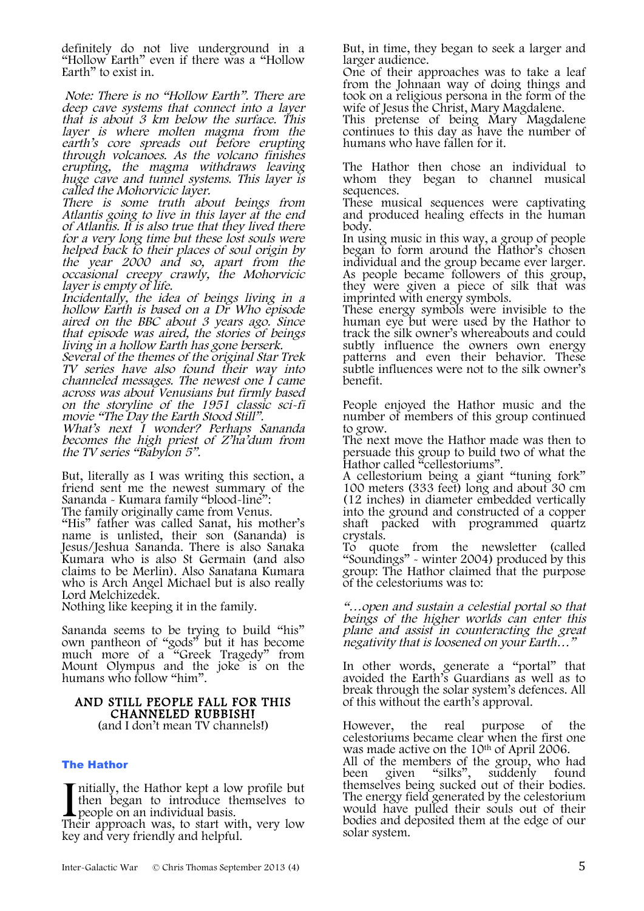definitely do not live underground in a "Hollow Earth" even if there was a "Hollow Earth" to exist in.

Note: There is no "Hollow Earth". There are deep cave systems that connect into a layer that is about 3 km below the surface. This layer is where molten magma from the earth's core spreads out before erupting through volcanoes. As the volcano finishes erupting, the magma withdraws leaving huge cave and tunnel systems. This layer is called the Mohorvicic layer.

There is some truth about beings from Atlantis going to live in this layer at the end<br>of Atlantis. It is also true that they lived there for a very long time but these lost souls were helped back to their places of soul origin by the year 2000 and so, apart from the occasional creepy crawly, the Mohorvicic layer is empty of life.

Incidentally, the idea of beings living in a hollow Earth is based on a Dr Who episode aired on the BBC about 3 years ago. Since that episode was aired, the stories of beings living in a hollow Earth has gone berserk.

Several of the themes of the original Star Trek<br>TV series have also found their way into channeled messages. The newest one  $\check{I}$  came across was about Venusians but firmly based on the storyline of the 1951 classic sci-fi movie "The Day the Earth Stood Still".

What's next I wonder? Perhaps Sananda becomes the high priest of Z'ha'dum from the TV series "Babylon 5".

But, literally as I was writing this section, a friend sent me the newest summary of the Sananda - Kumara family "blood-line":

The family originally came from Venus.

"His" father was called Sanat, his mother's name is unlisted, their son (Sananda) is Jesus/Jeshua Sananda. There is also Sanaka Kumara who is also St Germain (and also claims to be Merlin). Also Sanatana Kumara who is Arch Angel Michael but is also really Lord Melchizedek.

Nothing like keeping it in the family.

Sananda seems to be trying to build "his" own pantheon of "gods" but it has become much more of a "Greek Tragedy" from Mount Olympus and the joke is on the humans who follow "him".

# AND STILL PEOPLE FALL FOR THIS<br>CHANNELED RUBBISHI (and I don't mean TV channels!)

#### The Hathor

nitially, the Hathor kept a low profile but then began to introduce themselves to people on an individual basis. I nitially, the Hathor kept a low profile but<br>then began to introduce themselves to<br>people on an individual basis.<br>Their approach was, to start with, very low

key and very friendly and helpful.

But, in time, they began to seek a larger and larger audience.

One of their approaches was to take a leaf from the Johnaan way of doing things and took on a religious persona in the form of the wife of Jesus the Christ, Mary Magdalene.

This pretense of being Mary Magdalene continues to this day as have the number of humans who have fallen for it.

The Hathor then chose an individual to whom they began to channel musical sequences.

These musical sequences were captivating and produced healing effects in the human body.

In using music in this way, a group of people began to form around the Hathor's chosen<br>individual and the group became ever larger. As people became followers of this group, they were given a piece of silk that was imprinted with energy symbols.

These energy symbols were invisible to the human eye but were used by the Hathor to track the silk owner's whereabouts and could subtly influence the owners own energy patterns and even their behavior. These subtle influences were not to the silk owner's benefit.

People enjoyed the Hathor music and the number of members of this group continued to grow.

The next move the Hathor made was then to persuade this group to build two of what the Hathor called "cellestoriums".

A cellestorium being a giant "tuning fork" 100 meters (333 feet) long and about 30 cm (12 inches) in diameter embedded vertically into the ground and constructed of a copper shaft packed with programmed quartz crystals.

To quote from the newsletter (called "Soundings" - winter 2004) produced by this group: The Hathor claimed that the purpose of the celestoriums was to:

"…open and sustain a celestial portal so that beings of the higher worlds can enter this plane and assist in counteracting the great negativity that is loosened on your Earth…"

In other words, generate a "portal" that avoided the Earth's Guardians as well as to break through the solar system's defences. All of this without the earth's approval.

However, the real purpose of the celestoriums became clear when the first one was made active on the 10<sup>th</sup> of April 2006. All of the members of the group, who had<br>been given "silks", suddenly found suddenly themselves being sucked out of their bodies. The energy field generated by the celestorium would have pulled their souls out of their bodies and deposited them at the edge of our solar system.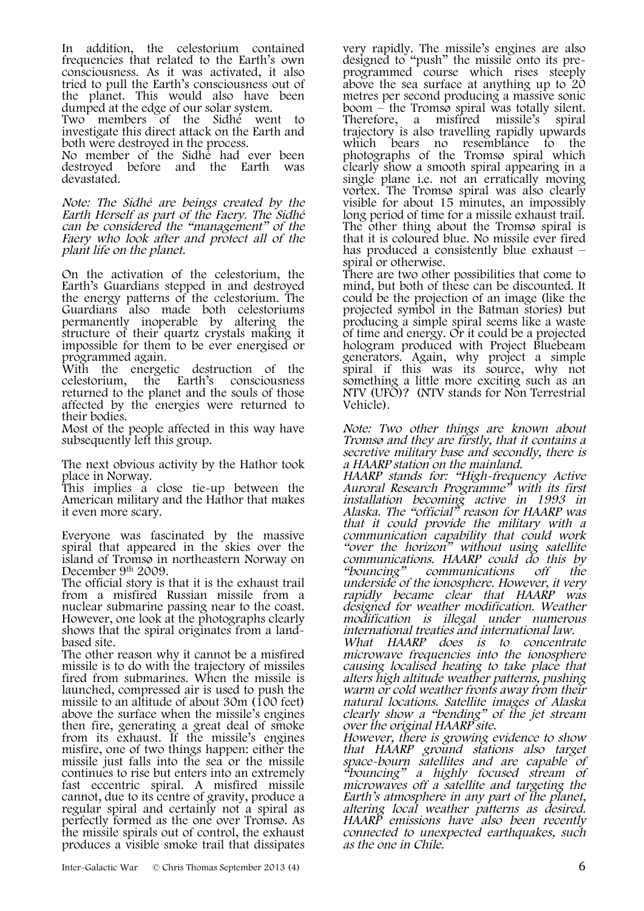In addition, the celestorium contained frequencies that related to the Earth's own consciousness. As it was activated, it also tried to pull the Earth's consciousness out of the planet. This would also have been dumped at the edge of our solar system.

Two members of the Sidhé went to investigate this direct attack on the Earth and both were destroyed in the process.

No member of the Sidhé had ever been destroyed before and the Earth was devastated.

Note: The Sidhé are beings created by the Earth Herself as part of the Faery. The Sidhé can be considered the "management" of the Faery who look after and protect all of the plant life on the planet.

On the activation of the celestorium, the Earth's Guardians stepped in and destroyed the energy patterns of the celestorium. The Guardians also made both celestoriums permanently inoperable by altering the structure of their quartz crystals making it impossible for them to be ever energised or programmed again.

With the energetic destruction of the celestorium, the returned to the planet and the souls of those affected by the energies were returned to their bodies.

Most of the people affected in this way have subsequently left this group.

The next obvious activity by the Hathor took place in Norway.

This implies a close tie-up between the American military and the Hathor that makes it even more scary.

Everyone was fascinated by the massive spiral that appeared in the skies over the island of Tromsø in northeastern Norway on December 9<sup>th</sup> 2009.

The official story is that it is the exhaust trail from a misfired Russian missile from a nuclear submarine passing near to the coast. However, one look at the photographs clearly shows that the spiral originates from a land-<br>based site.

The other reason why it cannot be a misfired missile is to do with the trajectory of missiles fired from submarines. When the missile is launched, compressed air is used to push the missile to an altitude of about 30m (100 feet) above the surface when the missile's engines then fire, generating a great deal of smoke from its exhaust. If the missile's engines misfire, one of two things happen: either the missile just falls into the sea or the missile continues to rise but enters into an extremely fast eccentric spiral. A misfired missile cannot, due to its centre of gravity, produce a regular spiral and certainly not a spiral as perfectly formed as the one over Tromsø. As the missile spirals out of control, the exhaust produces a visible smoke trail that dissipates very rapidly. The missile's engines are also designed to "push" the missile onto its pre- programmed course which rises steeply above the sea surface at anything up to 20 metres per second producing a massive sonic boom – the Tromsø spiral was totally silent. Therefore, a misfired missile's spiral trajectory is also travelling rapidly upwards which bears no resemblance to the photographs of the Tromsø spiral which clearly show a smooth spiral appearing in a single plane i.e. not an erratically moving vortex. The Tromsø spiral was also clearly visible for about 15 minutes, an impossibly long period of time for a missile exhaust trail. The other thing about the Tromsø spiral is that it is coloured blue. No missile ever fired has produced a consistently blue exhaust – spiral or otherwise.

There are two other possibilities that come to mind, but both of these can be discounted. It could be the projection of an image (like the projected symbol in the Batman stories) but producing a simple spiral seems like a waste of time and energy. Or it could be a projected hologram produced with Project Bluebeam generators. Again, why project a simple spiral if this was its source, why not something a little more exciting such as an NTV (UFO)? (NTV stands for Non Terrestrial Vehicle).

Note: Two other things are known about Tromsø and they are firstly, that it contains a secretive military base and secondly, there is a HAARP station on the mainland.

HAARP stands for: "High-frequency Active Auroral Research Programme" with its first installation becoming active in 1993 in Alaska. The "official" reason for HAARP was that it could provide the military with a communication capability that could work "over the horizon" without using satellite communications. HAARP could do this by "bouncing" communications off the underside of the ionosphere. However, it very rapidly became clear that HAARP was designed for weather modification. Weather modification is illegal under numerous international treaties and international law.

What HAARP does is to concentrate microwave frequencies into the ionosphere alters high altitude weather patterns, pushing warm or cold weather fronts away from their natural locations. Satellite images of Alaska clearly show a "bending" of the jet stream over the original HAARP site.

However, there is growing evidence to show that HAARP ground stations also target space-bourn satellites and are capable of "bouncing" a highly focused stream of microwaves off a satellite and targeting the Earth's atmosphere in any part of the planet, altering local weather patterns as desired. HAARP emissions have also been recently connected to unexpected earthquakes, such as the one in Chile.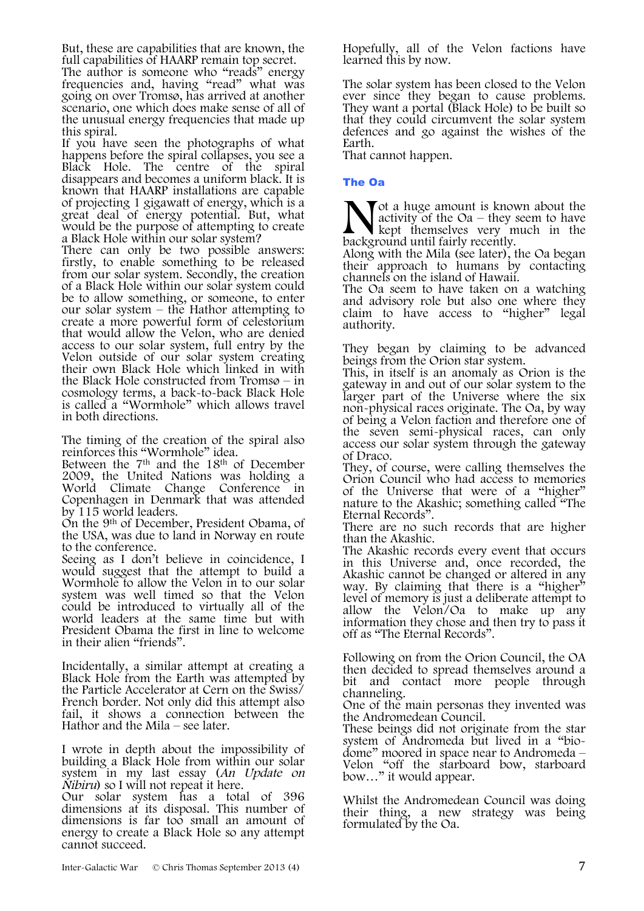But, these are capabilities that are known, the full capabilities of HAARP remain top secret.

The author is someone who "reads" energy frequencies and, having "read" what was going on over Tromsø, has arrived at another scenario, one which does make sense of all of the unusual energy frequencies that made up this spiral.

If you have seen the photographs of what happens before the spiral collapses, you see a<br>Black Hole. The centre of the spiral The centre of the spiral disappears and becomes a uniform black. It is known that HAARP installations are capable of projecting 1 gigawatt of energy, which is a great deal of energy potential. But, what would be the purpose of attempting to create a Black Hole within our solar system?

There can only be two possible answers: firstly, to enable something to be released from our solar system. Secondly, the creation of a Black Hole within our solar system could be to allow something, or someone, to enter our solar system – the Hathor attempting to create a more powerful form of celestorium that would allow the Velon, who are denied access to our solar system, full entry by the Velon outside of our solar system creating their own Black Hole which linked in with the Black Hole constructed from Tromsø – in cosmology terms, a back-to-back Black Hole is called a "Wormhole" which allows travel in both directions.

The timing of the creation of the spiral also reinforces this "Wormhole" idea.

Between the 7<sup>th</sup> and the 18<sup>th</sup> of December 2009, the United Nations was holding a World Climate Change Conference in Copenhagen in Denmark that was attended by 115 world leaders.

On the 9th of December, President Obama, of the USA, was due to land in Norway en route to the conference.

Seeing as I don't believe in coincidence, I would suggest that the attempt to build a Wormhole to allow the Velon in to our solar system was well timed so that the Velon could be introduced to virtually all of the world leaders at the same time but with President Obama the first in line to welcome in their alien "friends".

Incidentally, a similar attempt at creating a Black Hole from the Earth was attempted by the Particle Accelerator at Cern on the Swiss/ French border. Not only did this attempt also fail, it shows a connection between the Hathor and the Mila – see later.

I wrote in depth about the impossibility of building a Black Hole from within our solar system in my last essay (An Update on Nibiru) so I will not repeat it here.

Our solar system has a total of 396 dimensions at its disposal. This number of dimensions is far too small an amount of energy to create a Black Hole so any attempt cannot succeed.

Hopefully, all of the Velon factions have learned this by now.

The solar system has been closed to the Velon ever since they began to cause problems. They want a portal (Black Hole) to be built so that they could circumvent the solar system defences and go against the wishes of the Earth.

That cannot happen.

#### The Oa

Tot a huge amount is known about the activity of the  $Oa$  – they seem to have kept themselves very much in the background until fairly recently.

Along with the Mila (see later), the Oa began their approach to humans by contacting channels on the island of Hawaii.

The Oa seem to have taken on a watching and advisory role but also one where they claim to have access to "higher" legal authority.

They began by claiming to be advanced beings from the Orion star system.

This, in itself is an anomaly as Orion is the gateway in and out of our solar system to the larger part of the Universe where the six non-physical races originate. The Oa, by way of being a Velon faction and therefore one of the seven semi-physical races, can only access our solar system through the gateway of Draco.

They, of course, were calling themselves the Orion Council who had access to memories of the Universe that were of a "higher" nature to the Akashic; something called "The Eternal Records".

There are no such records that are higher than the Akashic.

The Akashic records every event that occurs in this Universe and, once recorded, the Akashic cannot be changed or altered in any way. By claiming that there is a "higher" level of memory is just a deliberate attempt to allow the Velon/ $\Omega$  to make up any information they chose and then try to pass it off as "The Eternal Records".

Following on from the Orion Council, the OA then decided to spread themselves around a bit and contact more people through channeling.

One of the main personas they invented was the Andromedean Council.

These beings did not originate from the star<br>system of Andromeda but lived in a "biodome" moored in space near to Andromeda – Velon "off the starboard bow, starboard bow..." it would appear.

Whilst the Andromedean Council was doing their thing, a new strategy was being formulated by the Oa.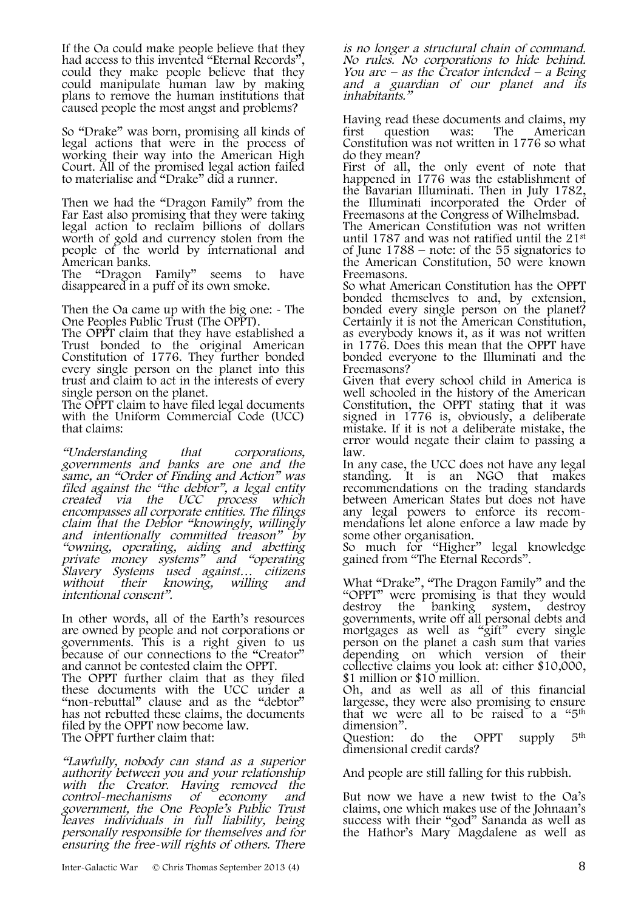If the Oa could make people believe that they had access to this invented "Eternal Records" could they make people believe that they could manipulate human law by making plans to remove the human institutions that caused people the most angst and problems?

So "Drake" was born, promising all kinds of legal actions that were in the process of working their way into the American High Court. All of the promised legal action failed to materialise and "Drake" did a runner.

Then we had the "Dragon Family" from the Far East also promising that they were taking legal action to reclaim billions of dollars worth of gold and currency stolen from the people of the world by international and American banks.<br>The "Dragon"

"Dragon Family" seems to have disappeared in a puff of its own smoke.

Then the Oa came up with the big one: - The One Peoples Public Trust (The OPPT).

The OPPT claim that they have established a Trust bonded to the original American Constitution of 1776. They further bonded every single person on the planet into this trust and claim to act in the interests of every single person on the planet.

The OPPT claim to have filed legal documents with the Uniform Commercial Code (UCC) that claims:

"Understanding that corporations, governments and banks are one and the same, an "Order of Finding and Action" was filed against the "the debtor", a legal entity created via the UCC process which encompasses all corporate entities. The filings claim that the Debtor "knowingly, willingly and intentionally committed treason" by "owning, operating, aiding and abetting private money systems" and "operating Slavery Systems used against… citizens without their knowing, willing and intentional consent".

In other words, all of the Earth's resources are owned by people and not corporations or governments. This is a right given to us because of our connections to the "Creator" and cannot be contested claim the OPPT. The OPPT further claim that as they filed these documents with the UCC under a "non-rebuttal" clause and as the "debtor" has not rebutted these claims, the documents filed by the OPPT now become law. The OPPT further claim that:

"Lawfully, nobody can stand as a superior authority between you and your relationship with the Creator. Having removed the control-mechanisms of economy and government, the One People's Public Trust leaves individuals in full liability, being personally responsible for themselves and for ensuring the free-will rights of others. There is no longer a structural chain of command. No rules. No corporations to hide behind. You are – as the Creator intended – a Being and a guardian of our planet and its inhabitants."

Having read these documents and claims, my first question was: The American Constitution was not written in 1776 so what do they mean?

First of all, the only event of note that happened in 1776 was the establishment of the Bavarian Illuminati. Then in July 1782, the Illuminati incorporated the Order of Freemasons at the Congress of Wilhelmsbad.

The American Constitution was not written until 1787 and was not ratified until the 21st of June 1788 – note: of the 55 signatories to the American Constitution, 50 were known Freemasons.

So what American Constitution has the OPPT bonded themselves to and, by extension, bonded every single person on the planet? Certainly it is not the American Constitution, as everybody knows it, as it was not written in 1776. Does this mean that the OPPT have bonded everyone to the Illuminati and the Freemasons?

Given that every school child in America is well schooled in the history of the American Constitution, the OPPT stating that it was signed in 1776 is, obviously, a deliberate mistake. If it is not a deliberate mistake, the error would negate their claim to passing a law.

In any case, the UCC does not have any legal standing. It is an NGO that makes recommendations on the trading standards between American States but does not have any legal powers to enforce its recom-<br>mendations let alone enforce a law made by<br>some other organisation.

So much for "Higher" legal knowledge gained from "The Eternal Records".

What "Drake", "The Dragon Family" and the "OPPT" were promising is that they would destroy the banking system, destroy destroy the banking system, destroy<br>governments, write off all personal debts and mortgages as well as "gift" every single person on the planet a cash sum that varies depending on which version of their collective claims you look at: either \$10,000, \$1 million or \$10 million.

Oh, and as well as all of this financial largesse, they were also promising to ensure that we were all to be raised to a "5th dimension".<br>Question: do

Question: do the OPPT supply  $5<sup>th</sup>$ dimensional credit cards?

And people are still falling for this rubbish.

But now we have a new twist to the Oa's claims, one which makes use of the Johnaan's success with their "god" Sananda as well as the Hathor's Mary Magdalene as well as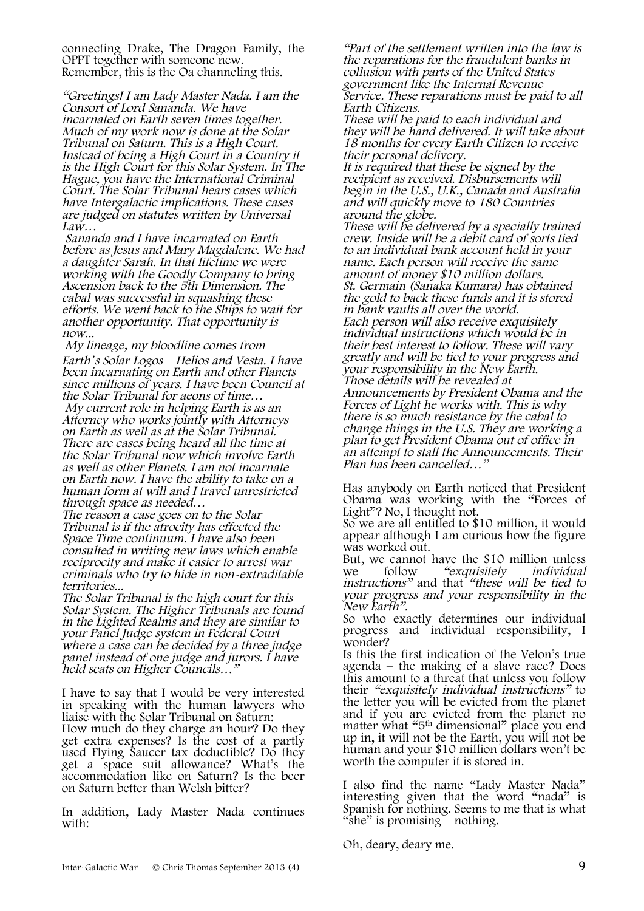connecting Drake, The Dragon Family, the Remember, this is the Oa channeling this.

"Greetings! I am Lady Master Nada. I am the Consort of Lord Sananda. We have incarnated on Earth seven times together. Much of my work now is done at the Solar Tribunal on Saturn. This is a High Court. Instead of being a High Court in a Country it is the High Court for this Solar System. In The Hague, you have the International Criminal Court. The Solar Tribunal hears cases which have Intergalactic implications. These cases are judged on statutes written by Universal Law…

Sananda and I have incarnated on Earth before as Jesus and Mary Magdalene. We had a daughter Sarah. In that lifetime we were working with the Goodly Company to bring Ascension back to the 5th Dimension. The cabal was successful in squashing these efforts. We went back to the Ships to wait for another opportunity. That opportunity is now...

My lineage, my bloodline comes from Earth*'*<sup>s</sup> Solar Logos – Helios and Vesta. I have been incarnating on Earth and other Planets since millions of years. I have been Council at the Solar Tribunal for aeons of time…

My current role in helping Earth is as an Attorney who works jointly with Attorneys on Earth as well as at the Solar Tribunal. There are cases being heard all the time at the Solar Tribunal now which involve Earth as well as other Planets. I am not incarnate on Earth now. I have the ability to take on a human form at will and I travel unrestricted through space as needed…

The reason a case goes on to the Solar Tribunal is if the atrocity has effected the Space Time continuum. I have also been consulted in writing new laws which enable reciprocity and make it easier to arrest war criminals who try to hide in non-extraditable territories...

The Solar Tribunal is the high court for this Solar System. The Higher Tribunals are found in the Lighted Realms and they are similar to your Panel Judge system in Federal Court where a case can be decided by a three judge panel instead of one judge and jurors. I have held seats on Higher Councils...

I have to say that I would be very interested in speaking with the human lawyers who liaise with the Solar Tribunal on Saturn: How much do they charge an hour? Do they get extra expenses? Is the cost of a partly used Flying Saucer tax deductible? Do they get a space suit allowance? What's the accommodation like on Saturn? Is the beer on Saturn better than Welsh bitter?

In addition, Lady Master Nada continues with:

"Part of the settlement written into the law is the reparations for the fraudulent banks in collusion with parts of the United States government like the Internal Revenue Service. These reparations must be paid to all Earth Citizens.

These will be paid to each individual and they will be hand delivered. It will take about 18 months for every Earth Citizen to receive their personal delivery.

It is required that these be signed by the recipient as received. Disbursements will begin in the U.S., U.K., Canada and Australia and will quickly move to 180 Countries around the globe.

These will be delivered by a specially trained crew. Inside will be a debit card of sorts tied to an individual bank account held in your name. Each person will receive the same<br>amount of money \$10 million dollars. St. Germain (Sanaka Kumara) has obtained the gold to back these funds and it is stored in bank vaults all over the world. Each person will also receive exquisitely individual instructions which would be in their best interest to follow. These will vary greatly and will be tied to your progress and your responsibility in the New Earth. Those details will be revealed at Announcements by President Obama and the Forces of Light he works with. This is why there is so much resistance by the cabal to change things in the U.S. They are working a plan to get President Obama out of office in an attempt to stall the Announcements. Their Plan has been cancelled…"

Has anybody on Earth noticed that President Obama was working with the "Forces of Light"? No, I thought not.

So we are all entitled to \$10 million, it would appear although I am curious how the figure was worked out.

But, we cannot have the \$10 million unless<br>we follow "exquisitely individual we follow "exquisitely individual<br>instructions" and that "these will be tied to your progress and your responsibility in the New Earth".

So who exactly determines our individual progress and individual responsibility, I wonder?

Is this the first indication of the Velon's true agenda – the making of a slave race? Does this amount to a threat that unless you follow their "exquisitely individual instructions" to the letter you will be evicted from the planet and if you are evicted from the planet no matter what "5<sup>th</sup> dimensional" place you end up in, it will not be the Earth, you will not be human and your \$10 million dollars won't be worth the computer it is stored in.

I also find the name "Lady Master Nada" interesting given that the word "nada" is Spanish for nothing. Seems to me that is what "she" is promising  $-$  nothing.

Oh, deary, deary me.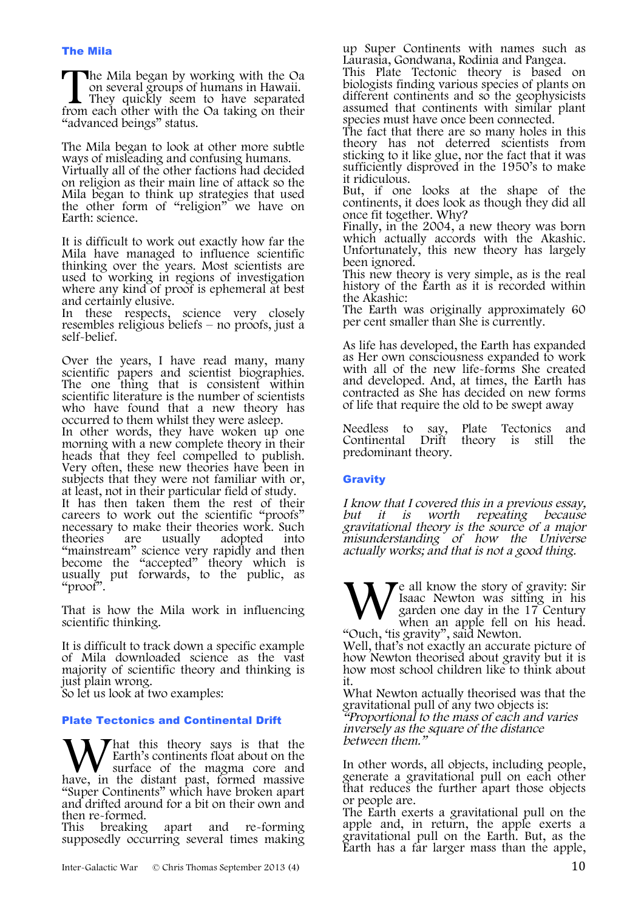he Mila began by working with the Oa on several groups of humans in Hawaii. They quickly seem to have separated The Mila began by working with the Oa on several groups of humans in Hawaii.<br>They quickly seem to have separated from each other with the Oa taking on their "advanced beings" status.

The Mila began to look at other more subtle ways of misleading and confusing humans. Virtually all of the other factions had decided on religion as their main line of attack so the Mila began to think up strategies that used the other form of "religion" we have on Earth: science.

It is difficult to work out exactly how far the Mila have managed to influence scientific thinking over the years. Most scientists are used to working in regions of investigation where any kind of proof is ephemeral at best and certainly elusive.

In these respects, science very closely resembles religious beliefs – no proofs, just a self-belief.

Over the years, I have read many, many scientific papers and scientist biographies. The one thing that is consistent within scientific literature is the number of scientists who have found that a new theory has occurred to them whilst they were asleep.

In other words, they have woken up one morning with a new complete theory in their heads that they feel compelled to publish. Very often, these new theories have been in subjects that they were not familiar with or, at least, not in their particular field of study. It has then taken them the rest of their careers to work out the scientific "proofs" necessary to make their theories work. Such<br>theories are usually adopted into are usually adopted into "mainstream" science very rapidly and then become the "accepted" theory which is usually put forwards, to the public, as "proof".

That is how the Mila work in influencing scientific thinking.

It is difficult to track down a specific example of Mila downloaded science as the vast majority of scientific theory and thinking is just plain wrong.

So let us look at two examples:

#### Plate Tectonics and Continental Drift

hat this theory says is that the Earth's continents float about on the<br>surface of the magma core and W hat this theory says is that the surface of the magma core and have, in the distant past, formed massive "Super Continents" which have broken apart and drifted around for a bit on their own and then re-formed.<br>This breaking

This breaking apart and re-forming supposedly occurring several times making

up Super Continents with names such as Laurasia, Gondwana, Rodinia and Pangea.

This Plate Tectonic theory is based on biologists finding various species of plants on different continents and so the geophysicists assumed that continents with similar plant species must have once been connected.

The fact that there are so many holes in this theory has not deterred scientists from sticking to it like glue, nor the fact that it was sufficiently disproved in the 1950's to make it ridiculous.

But, if one looks at the shape of the continents, it does look as though they did all once fit together. Why?

Finally, in the 2004, a new theory was born which actually accords with the Akashic. Unfortunately, this new theory has largely been ignored.

This new theory is very simple, as is the real history of the Earth as it is recorded within the Akashic:

The Earth was originally approximately 60 per cent smaller than She is currently.

As life has developed, the Earth has expanded as Her own consciousness expanded to work with all of the new life-forms She created and developed. And, at times, the Earth has contracted as She has decided on new forms of life that require the old to be swept away

Needless to say, Plate Tectonics and<br>Continental Drift theory is still the Continental Drift theory is still predominant theory.

#### **Gravity**

I know that I covered this in a previous essay, but it is worth repeating because gravitational theory is the source of a major misunderstanding of how the Universe actually works; and that is not a good thing.

 $\blacktriangledown$ e all know the story of gravity: Sir Isaac Newton was sitting in his garden one day in the 17 Century when an apple fell on his head. "Ouch, 'tis gravity", said Newton. W<sub>\*\*\*</sub>

Well, that's not exactly an accurate picture of how Newton theorised about gravity but it is how most school children like to think about it.

What Newton actually theorised was that the gravitational pull of any two objects is: "Proportional to the mass of each and varies inversely as the square of the distance between them."

In other words, all objects, including people, generate a gravitational pull on each other that reduces the further apart those objects or people are.

The Earth exerts a gravitational pull on the apple and, in return, the apple exerts a gravitational pull on the Earth. But, as the Earth has a far larger mass than the apple,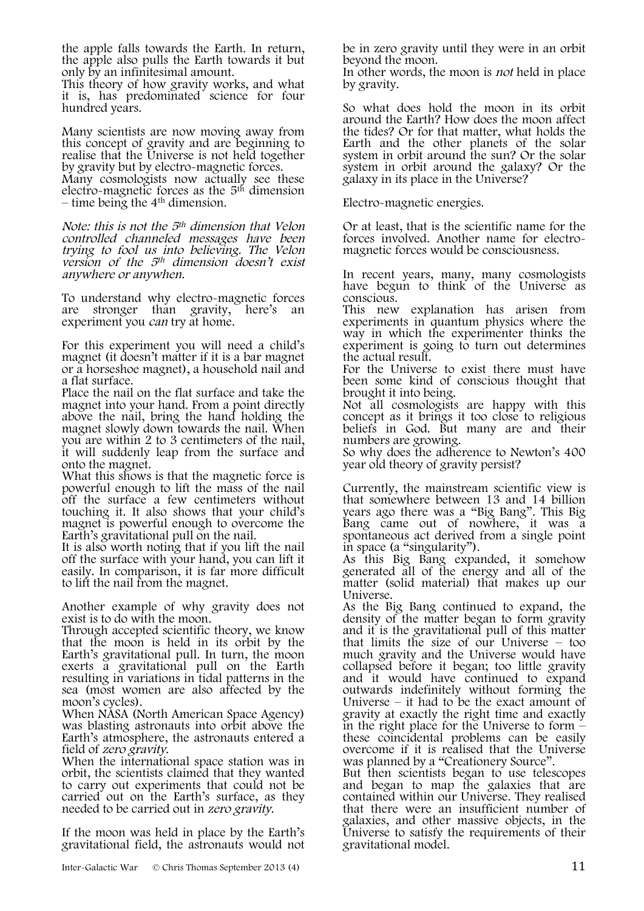the apple falls towards the Earth. In return, the apple also pulls the Earth towards it but only by an infinitesimal amount.

This theory of how gravity works, and what it is, has predominated science for four hundred years.

Many scientists are now moving away from this concept of gravity and are beginning to realise that the Universe is not held together by gravity but by electro-magnetic forces.

Many cosmologists now actually see these electro-magnetic forces as the  $5<sup>th</sup>$  dimension – time being the  $4<sup>th</sup>$  dimension.

Note: this is not the 5th dimension that Velon controlled channeled messages have been trying to fool us into believing. The Velon version of the  $5<sup>th</sup>$  dimension doesn't exist anywhere or anywhen.

To understand why electro-magnetic forces are stronger than gravity, here's an experiment you can try at home.

For this experiment you will need a child's magnet (it doesn't matter if it is a bar magnet or a horseshoe magnet), a household nail and a flat surface.

Place the nail on the flat surface and take the magnet into your hand. From a point directly above the nail, bring the hand holding the magnet slowly down towards the nail. When you are within 2 to 3 centimeters of the nail, it will suddenly leap from the surface and onto the magnet.

What this shows is that the magnetic force is powerful enough to lift the mass of the nail off the surface a few centimeters without touching it. It also shows that your child's magnet is powerful enough to overcome the Earth's gravitational pull on the nail.

It is also worth noting that if you lift the nail off the surface with your hand, you can lift it easily. In comparison, it is far more difficult to lift the nail from the magnet.

Another example of why gravity does not exist is to do with the moon.

Through accepted scientific theory, we know that the moon is held in its orbit by the Earth's gravitational pull. In turn, the moon exerts a gravitational pull on the Earth resulting in variations in tidal patterns in the sea (most women are also affected by the moon's cycles).

When NASA (North American Space Agency) was blasting astronauts into orbit above the Earth's atmosphere, the astronauts entered a field of *zero gravity*.

When the international space station was in orbit, the scientists claimed that they wanted to carry out experiments that could not be carried out on the Earth's surface, as they needed to be carried out in zero gravity.

If the moon was held in place by the Earth's gravitational field, the astronauts would not be in zero gravity until they were in an orbit beyond the moon.

In other words, the moon is not held in place by gravity.

So what does hold the moon in its orbit around the Earth? How does the moon affect the tides? Or for that matter, what holds the Earth and the other planets of the solar system in orbit around the sun? Or the solar system in orbit around the galaxy? Or the galaxy in its place in the Universe?

Electro-magnetic energies.

Or at least, that is the scientific name for the forces involved. Another name for electro- magnetic forces would be consciousness.

In recent years, many, many cosmologists have begun to think of the Universe as conscious.

This new explanation has arisen from experiments in quantum physics where the way in which the experimenter thinks the experiment is going to turn out determines the actual result.

For the Universe to exist there must have been some kind of conscious thought that brought it into being.

Not all cosmologists are happy with this concept as it brings it too close to religious beliefs in God. But many are and their numbers are growing.

So why does the adherence to Newton's 400 year old theory of gravity persist?

Currently, the mainstream scientific view is that somewhere between 13 and 14 billion years ago there was a "Big Bang". This Big Bang came out of nowhere, it was a spontaneous act derived from a single point in space (a "singularity").

As this Big Bang expanded, it somehow generated all of the energy and all of the matter (solid material) that makes up our Universe.

As the Big Bang continued to expand, the density of the matter began to form gravity and it is the gravitational pull of this matter that limits the size of our Universe – too much gravity and the Universe would have collapsed before it began; too little gravity and it would have continued to expand outwards indefinitely without forming the Universe – it had to be the exact amount of gravity at exactly the right time and exactly in the right place for the Universe to form – these coincidental problems can be easily overcome if it is realised that the Universe was planned by a "Creationery Source".

But then scientists began to use telescopes. and began to map the galaxies that are contained within our Universe. They realised that there were an insufficient number of galaxies, and other massive objects, in the Universe to satisfy the requirements of their gravitational model.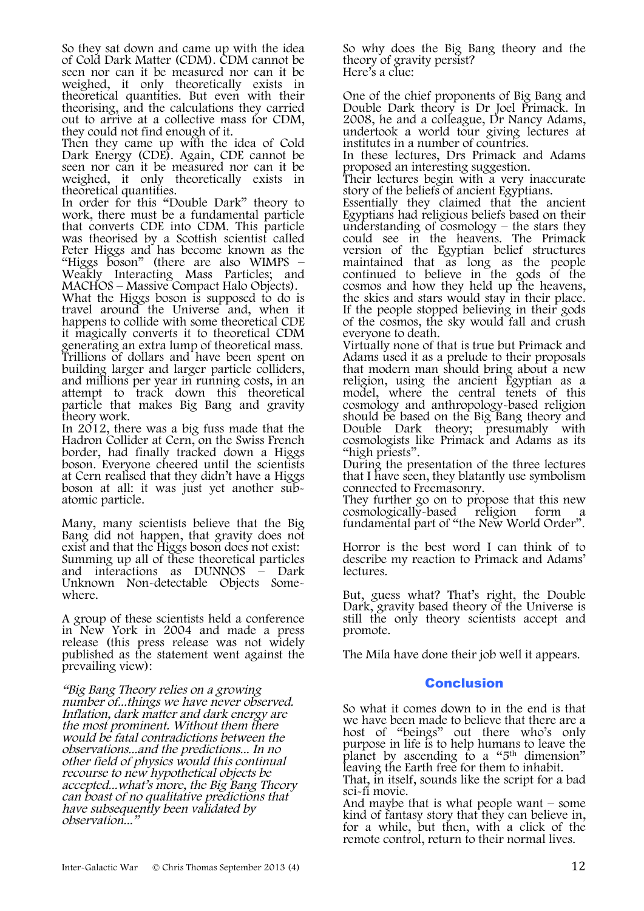So they sat down and came up with the idea of Cold Dark Matter (CDM). CDM cannot be seen nor can it be measured nor can it be weighed, it only theoretically exists in theoretical quantities. But even with their theorising, and the calculations they carried out to arrive at a collective mass for CDM, they could not find enough of it.

Then they came up with the idea of Cold Dark Energy (CDE). Again, CDE cannot be seen nor can it be measured nor can it be weighed, it only theoretically exists in theoretical quantities.

In order for this "Double Dark" theory to work, there must be a fundamental particle that converts CDE into CDM. This particle was theorised by a Scottish scientist called Peter Higgs and has become known as the "Higgs boson" (there are also WIMPS – Weakly Interacting Mass Particles; and MACHOS – Massive Compact Halo Objects).

What the Higgs boson is supposed to do is travel around the Universe and, when it happens to collide with some theoretical CDE it magically converts it to theoretical CDM generating an extra lump of theoretical mass. Trillions of dollars and have been spent on building larger and larger particle colliders, and millions per year in running costs, in an attempt to track down this theoretical particle that makes Big Bang and gravity theory work.

In 2012, there was a big fuss made that the Hadron Collider at Cern, on the Swiss French border, had finally tracked down a Higgs boson. Everyone cheered until the scientists at Cern realised that they didn't have a Higgs boson at all: it was just yet another sub- atomic particle.

Many, many scientists believe that the Big Bang did not happen, that gravity does not exist and that the Higgs boson does not exist: Summing up all of these theoretical particles and interactions as DUNNOS – Dark Unknown Non-detectable Objects Some- where.

A group of these scientists held a conference in New York in 2004 and made a press release (this press release was not widely published as the statement went against the prevailing view):

"Big Bang Theory relies on a growing number of...things we have never observed. Inflation, dark matter and dark energy are the most prominent. Without them there would be fatal contradictions between the observations...and the predictions... In no other field of physics would this continual recourse to new hypothetical objects be accepted...what's more, the Big Bang Theory can boast of no qualitative predictions that have subsequently been validated by observation..."

So why does the Big Bang theory and the theory of gravity persist? Here's a clue:

One of the chief proponents of Big Bang and Double Dark theory is Dr Joel Primack. In 2008, he and a colleague, Dr Nancy Adams, undertook a world tour giving lectures at institutes in a number of countries.

In these lectures, Drs Primack and Adams proposed an interesting suggestion.

Their lectures begin with a very inaccurate story of the beliefs of ancient Egyptians.

Essentially they claimed that the ancient Egyptians had religious beliefs based on their understanding of cosmology – the stars they could see in the heavens. The Primack version of the Egyptian belief structures maintained that as long as the people continued to believe in the gods of the cosmos and how they held up the heavens, the skies and stars would stay in their place. If the people stopped believing in their gods of the cosmos, the sky would fall and crush everyone to death.

Virtually none of that is true but Primack and Adams used it as a prelude to their proposals that modern man should bring about a new religion, using the ancient Egyptian as a model, where the central tenets of this cosmology and anthropology-based religion should be based on the Big Bang theory and Double Dark theory; presumably with cosmologists like Primack and Adams as its "high priests".

During the presentation of the three lectures that I have seen, they blatantly use symbolism connected to Freemasonry.

They further go on to propose that this new<br>cosmologically-based religion form a cosmologically-based religion form a fundamental part of "the New World Order".

Horror is the best word I can think of to describe my reaction to Primack and Adams' lectures.

But, guess what? That's right, the Double Dark, gravity based theory of the Universe is still the only theory scientists accept and promote.

The Mila have done their job well it appears.

### Conclusion

So what it comes down to in the end is that we have been made to believe that there are a host of "beings" out there who's only purpose in life is to help humans to leave the planet by ascending to a "5th dimension" leaving the Earth free for them to inhabit.

That, in itself, sounds like the script for a bad

sci-fi movie.<br>And maybe that is what people want – some kind of fantasy story that they can believe in, for a while, but then, with a click of the remote control, return to their normal lives.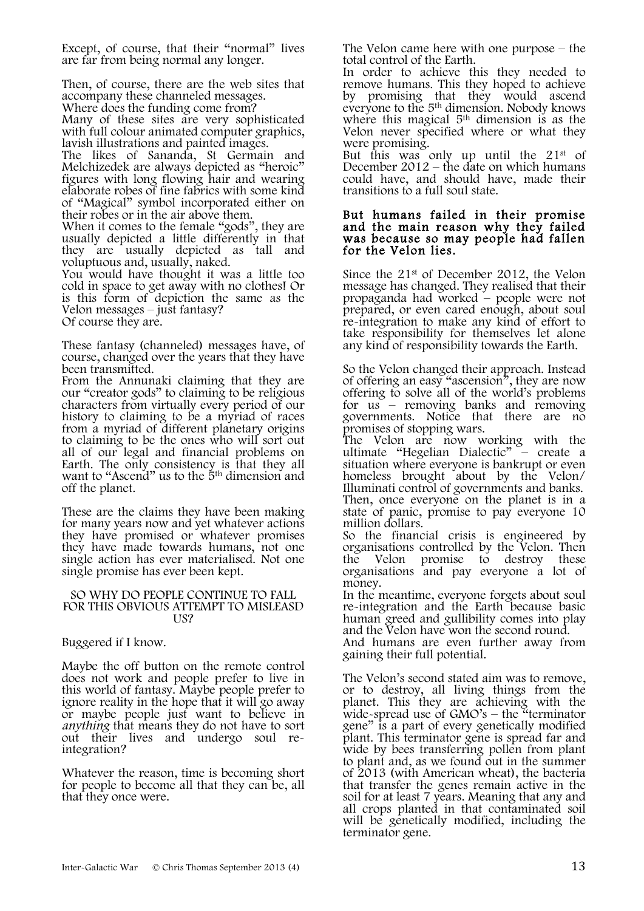Except, of course, that their "normal" lives are far from being normal any longer.

Then, of course, there are the web sites that accompany these channeled messages.

Where does the funding come from?

Many of these sites are very sophisticated with full colour animated computer graphics, lavish illustrations and painted images.

The likes of Sananda, St Germain and Melchizedek are always depicted as "heroic" figures with long flowing hair and wearing elaborate robes of fine fabrics with some kind of "Magical" symbol incorporated either on their robes or in the air above them.

When it comes to the female "gods", they are usually depicted a little differently in that they are usually depicted as tall and voluptuous and, usually, naked.

You would have thought it was a little too cold in space to get away with no clothes! Or is this form of depiction the same as the Velon messages – just fantasy? Of course they are.

These fantasy (channeled) messages have, of course, changed over the years that they have been transmitted.

From the Annunaki claiming that they are our "creator gods" to claiming to be religious characters from virtually every period of our from a myriad of different planetary origins to claiming to be the ones who will sort out all of our legal and financial problems on Earth. The only consistency is that they all want to "Ascend" us to the 5<sup>th</sup> dimension and off the planet.

These are the claims they have been making for many years now and yet whatever actions they have promised or whatever promises they have made towards humans, not one single action has ever materialised. Not one single promise has ever been kept.

#### SO WHY DO PEOPLE CONTINUE TO FALL FOR THIS OBVIOUS ATTEMPT TO MISLEASD US?

Buggered if I know.

Maybe the off button on the remote control does not work and people prefer to live in this world of fantasy. Maybe people prefer to ignore reality in the hope that it will go away or maybe people just want to believe in anything that means they do not have to sort out their lives and undergo soul re- integration?

Whatever the reason, time is becoming short for people to become all that they can be, all that they once were.

The Velon came here with one purpose – the total control of the Earth.

In order to achieve this they needed to remove humans. This they hoped to achieve by promising that they would ascend everyone to the 5<sup>th</sup> dimension. Nobody knows where this magical 5<sup>th</sup> dimension is as the Velon never specified where or what they were promising.

But this was only up until the  $21^{st}$  of December  $2012 -$ the date on which humans could have, and should have, made their transitions to a full soul state.

#### But humans failed in their promise and the main reason why they failed was because so may people had fallen for the Velon lies.

Since the 21st of December 2012, the Velon message has changed. They realised that their propaganda had worked – people were not prepared, or even cared enough, about soul re-integration to make any kind of effort to take responsibility for themselves let alone any kind of responsibility towards the Earth.

So the Velon changed their approach. Instead of offering an easy "ascension", they are now offering to solve all of the world's problems for  $us -$  removing banks and removing governments. Notice that there are no promises of stopping wars.

The Velon are now working with the ultimate "Hegelian Dialectic" – create a situation where everyone is bankrupt or even homeless brought about by the Velon/ Illuminati control of governments and banks. Then, once everyone on the planet is in a state of panic, promise to pay everyone 10 million dollars.

So the financial crisis is engineered by organisations controlled by the Velon. Then the Velon promise to destroy these organisations and pay everyone a lot of money.

In the meantime, everyone forgets about soul re-integration and the Earth because basic human greed and gullibility comes into play and the Velon have won the second round. And humans are even further away from

gaining their full potential.

The Velon's second stated aim was to remove, or to destroy, all living things from the planet. This they are achieving with the wide-spread use of GMO's – the "terminator" gene" is a part of every genetically modified plant. This terminator gene is spread far and wide by bees transferring pollen from plant to plant and, as we found out in the summer of 2013 (with American wheat), the bacteria that transfer the genes remain active in the soil for at least 7 years. Meaning that any and all crops planted in that contaminated soil will be genetically modified, including the terminator gene.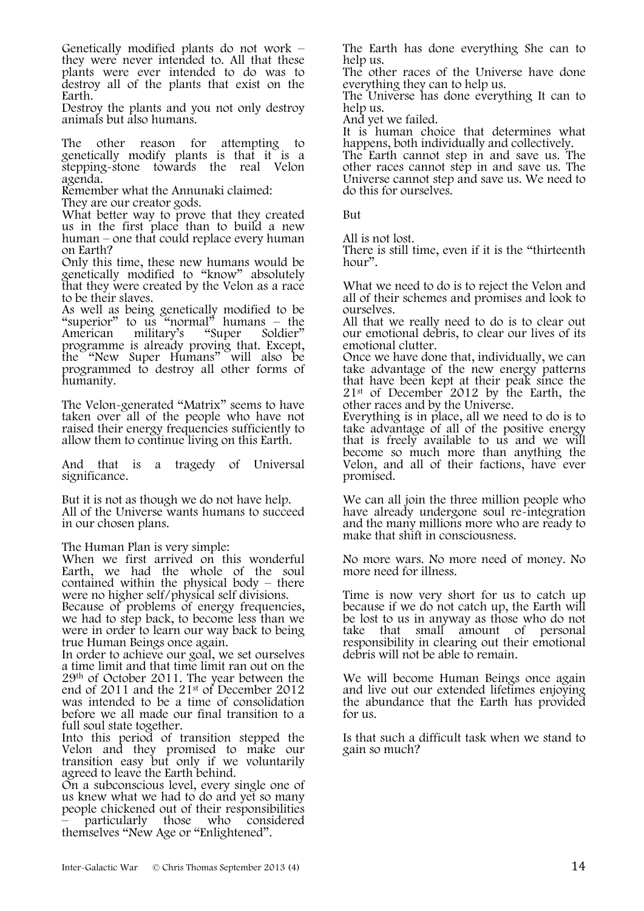Genetically modified plants do not work – they were never intended to. All that these plants were ever intended to do was to destroy all of the plants that exist on the Earth.

Destroy the plants and you not only destroy animals but also humans.

The other reason for attempting to genetically modify plants is that it is a stepping-stone towards the real Velon agenda.

Remember what the Annunaki claimed:

They are our creator gods.

What better way to prove that they created us in the first place than to build a new human – one that could replace every human on Earth?

Only this time, these new humans would be genetically modified to "know" absolutely that they were created by the Velon as a race to be their slaves.

As well as being genetically modified to be "superior" to us "normal" humans – the American military's "Super Soldier" programme is already proving that. Except, the "New Super Humans" will also be programmed to destroy all other forms of humanity.

The Velon-generated "Matrix" seems to have taken over all of the people who have not raised their energy frequencies sufficiently to allow them to continue living on this Earth.

And that is a tragedy of Universal significance.

But it is not as though we do not have help. All of the Universe wants humans to succeed in our chosen plans.

The Human Plan is very simple:

When we first arrived on this wonderful Earth, we had the whole of the soul contained within the physical body – there were no higher self/physical self divisions.

Because of problems of energy frequencies, we had to step back, to become less than we were in order to learn our way back to being true Human Beings once again.

In order to achieve our goal, we set ourselves a time limit and that time limit ran out on the 29th of October 2011. The year between the end of 2011 and the 21st of December 2012 was intended to be a time of consolidation before we all made our final transition to a full soul state together.

Into this period of transition stepped the Velon and they promised to make our transition easy but only if we voluntarily agreed to leave the Earth behind.

On a subconscious level, every single one of us knew what we had to do and yet so many people chickened out of their responsibilities – particularly those who considered themselves "New Age or "Enlightened".

The Earth has done everything She can to help us.

The other races of the Universe have done everything they can to help us.

The Universe has done everything It can to help us.

And yet we failed.

It is human choice that determines what happens, both individually and collectively.

The Earth cannot step in and save us. The other races cannot step in and save us. The Universe cannot step and save us. We need to do this for ourselves.

But

All is not lost.

There is still time, even if it is the "thirteenth hour".

What we need to do is to reject the Velon and all of their schemes and promises and look to ourselves.

All that we really need to do is to clear out our emotional debris, to clear our lives of its emotional clutter.

Once we have done that, individually, we can take advantage of the new energy patterns that have been kept at their peak since the 21st of December 2012 by the Earth, the other races and by the Universe.

Everything is in place, all we need to do is to take advantage of all of the positive energy that is freely available to us and we will become so much more than anything the Velon, and all of their factions, have ever promised.

We can all join the three million people who have already undergone soul re-integration and the many millions more who are ready to make that shift in consciousness.

No more wars. No more need of money. No more need for illness.

Time is now very short for us to catch up because if we do not catch up, the Earth will be lost to us in anyway as those who do not take that small amount of personal responsibility in clearing out their emotional debris will not be able to remain.

We will become Human Beings once again and live out our extended lifetimes enjoying the abundance that the Earth has provided for us.

Is that such a difficult task when we stand to gain so much?